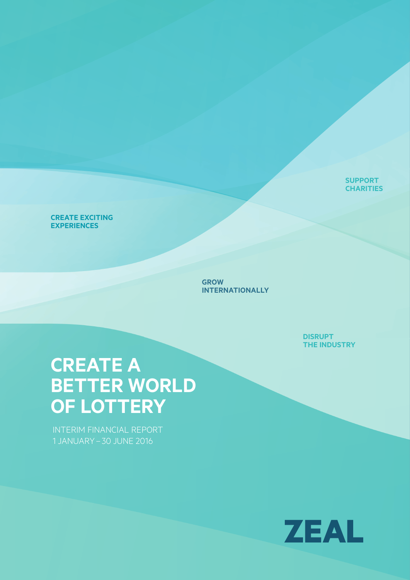**SuPPort CHARITIES** 

# **crEAtE ExcitiNg ExPEriENcES**

**grow iNtErNAtioNALLy**

> **DiSruPt thE iNDuStry**

# **crEAtE A BEttEr worLD of LottEry**

INTERIM FINANCIAL REPORT 1 JANUARY – 30 JUNE 2016

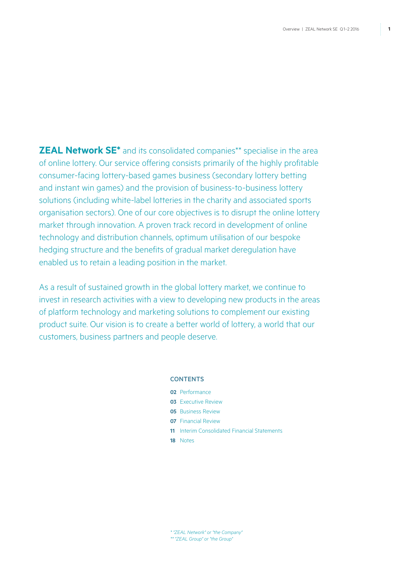**ZEAL Network SE\*** and its consolidated companies\*\* specialise in the area of online lottery. Our service offering consists primarily of the highly profitable consumer-facing lottery-based games business (secondary lottery betting and instant win games) and the provision of business-to-business lottery solutions (including white-label lotteries in the charity and associated sports organisation sectors). One of our core objectives is to disrupt the online lottery market through innovation. A proven track record in development of online technology and distribution channels, optimum utilisation of our bespoke hedging structure and the benefits of gradual market deregulation have enabled us to retain a leading position in the market.

As a result of sustained growth in the global lottery market, we continue to invest in research activities with a view to developing new products in the areas of platform technology and marketing solutions to complement our existing product suite. Our vision is to create a better world of lottery, a world that our customers, business partners and people deserve.

### **CONTENTS**

- **02** Performance
- **03** Executive Review
- **05** Business Review
- **07** Financial Review
- **11** Interim Consolidated Financial Statements
- **18** Notes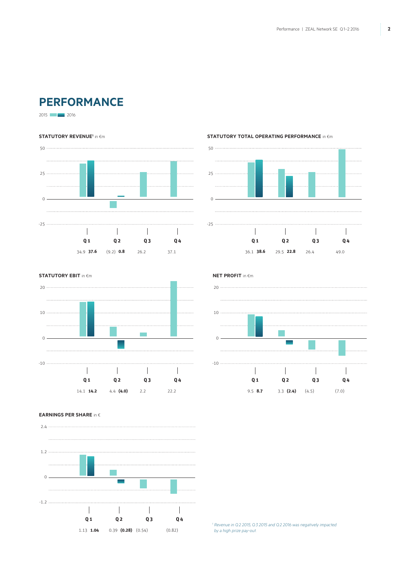# **Performance**

2015 2016

### **STATUTORY REVENUE<sup>1</sup> in €m**



#### **Statutory Total operating performance** in �m





# **NET PROFIT** in €m



### **Earnings per share** in �



*<sup>1</sup> Revenue in Q2 2015, Q3 2015 and Q2 2016 was negatively impacted by a high prize pay-out.*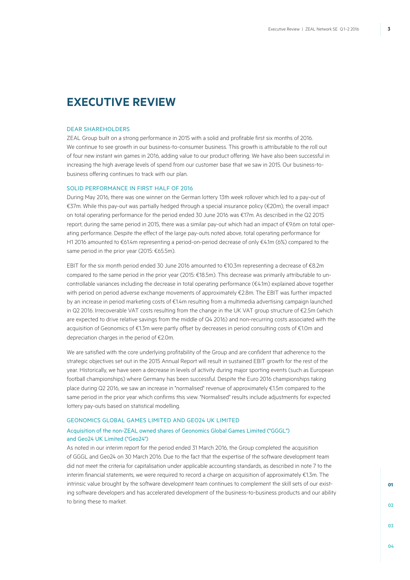# **Executive Review**

#### Dear Shareholders

ZEAL Group built on a strong performance in 2015 with a solid and profitable first six months of 2016. We continue to see growth in our business-to-consumer business. This growth is attributable to the roll out of four new instant win games in 2016, adding value to our product offering. We have also been successful in increasing the high average levels of spend from our customer base that we saw in 2015. Our business-tobusiness offering continues to track with our plan.

#### SOLID PERFORMANCE IN FIRST HALF OF 2016

During May 2016, there was one winner on the German lottery 13th week rollover which led to a pay-out of €37m. While this pay-out was partially hedged through a special insurance policy (€20m), the overall impact on total operating performance for the period ended 30 June 2016 was €17m. As described in the Q2 2015 report, during the same period in 2015, there was a similar pay-out which had an impact of €9.6m on total operating performance. Despite the effect of the large pay-outs noted above, total operating performance for H1 2016 amounted to €61.4m representing a period-on-period decrease of only €4.1m (6%) compared to the same period in the prior year (2015: €65.5m).

EBIT for the six month period ended 30 June 2016 amounted to €10.3m representing a decrease of €8.2m compared to the same period in the prior year (2015: €18.5m). This decrease was primarily attributable to uncontrollable variances including the decrease in total operating performance (€4.1m) explained above together with period on period adverse exchange movements of approximately €2.8m. The EBIT was further impacted by an increase in period marketing costs of €1.4m resulting from a multimedia advertising campaign launched in Q2 2016. Irrecoverable VAT costs resulting from the change in the UK VAT group structure of €2.5m (which are expected to drive relative savings from the middle of Q4 2016) and non-recurring costs associated with the acquisition of Geonomics of €1.3m were partly offset by decreases in period consulting costs of €1.0m and depreciation charges in the period of €2.0m.

We are satisfied with the core underlying profitability of the Group and are confident that adherence to the strategic objectives set out in the 2015 Annual Report will result in sustained EBIT growth for the rest of the year. Historically, we have seen a decrease in levels of activity during major sporting events (such as European football championships) where Germany has been successful. Despite the Euro 2016 championships taking place during Q2 2016, we saw an increase in "normalised" revenue of approximately €1.5m compared to the same period in the prior year which confirms this view. "Normalised" results include adjustments for expected lottery pay-outs based on statistical modelling.

### GEONOMICS GLOBAL GAMES LIMITED AND GEO24 UK LIMITED

### Acquisition of the non-ZEAL owned shares of Geonomics Global Games Limited ("GGGL") and Geo24 UK Limited ("Geo24")

As noted in our interim report for the period ended 31 March 2016, the Group completed the acquisition of GGGL and Geo24 on 30 March 2016. Due to the fact that the expertise of the software development team did not meet the criteria for capitalisation under applicable accounting standards, as described in note 7 to the interim financial statements, we were required to record a charge on acquisition of approximately €1.3m. The intrinsic value brought by the software development team continues to complement the skill sets of our existing software developers and has accelerated development of the business-to-business products and our ability to bring these to market.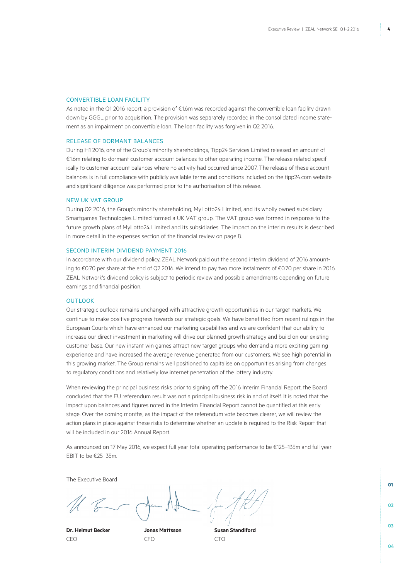### CONVERTIBLE LOAN FACILITY

As noted in the Q1 2016 report, a provision of €1.6m was recorded against the convertible loan facility drawn down by GGGL prior to acquisition. The provision was separately recorded in the consolidated income statement as an impairment on convertible loan. The loan facility was forgiven in Q2 2016.

### RELEASE OF DORMANT BALANCES

During H1 2016, one of the Group's minority shareholdings, Tipp24 Services Limited released an amount of €1.6m relating to dormant customer account balances to other operating income. The release related specifically to customer account balances where no activity had occurred since 2007. The release of these account balances is in full compliance with publicly available terms and conditions included on the tipp24.com website and significant diligence was performed prior to the authorisation of this release.

#### NEW UK VAT GROUP

During Q2 2016, the Group's minority shareholding, MyLotto24 Limited, and its wholly owned subsidiary Smartgames Technologies Limited formed a UK VAT group. The VAT group was formed in response to the future growth plans of MyLotto24 Limited and its subsidiaries. The impact on the interim results is described in more detail in the expenses section of the financial review on page 8.

### SECOND INTERIM DIVIDEND PAYMENT 2016

In accordance with our dividend policy, ZEAL Network paid out the second interim dividend of 2016 amounting to €0.70 per share at the end of Q2 2016. We intend to pay two more instalments of €0.70 per share in 2016. ZEAL Network's dividend policy is subject to periodic review and possible amendments depending on future earnings and financial position.

### **OUTLOOK**

Our strategic outlook remains unchanged with attractive growth opportunities in our target markets. We continue to make positive progress towards our strategic goals. We have benefitted from recent rulings in the European Courts which have enhanced our marketing capabilities and we are confident that our ability to increase our direct investment in marketing will drive our planned growth strategy and build on our existing customer base. Our new instant win games attract new target groups who demand a more exciting gaming experience and have increased the average revenue generated from our customers. We see high potential in this growing market. The Group remains well positioned to capitalise on opportunities arising from changes to regulatory conditions and relatively low internet penetration of the lottery industry.

When reviewing the principal business risks prior to signing off the 2016 Interim Financial Report, the Board concluded that the EU referendum result was not a principal business risk in and of itself. It is noted that the impact upon balances and figures noted in the Interim Financial Report cannot be quantified at this early stage. Over the coming months, as the impact of the referendum vote becomes clearer, we will review the action plans in place against these risks to determine whether an update is required to the Risk Report that will be included in our 2016 Annual Report.

As announced on 17 May 2016, we expect full year total operating performance to be €125–135m and full year EBIT to be €25–35m.

The Executive Board

CEO CFO CTO



**Dr. Helmut Becker Jonas Mattsson Susan Standiford**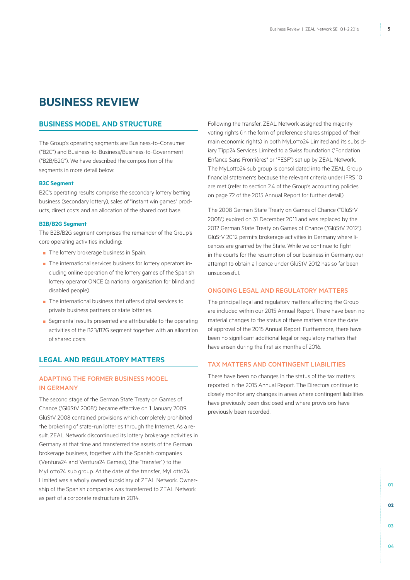# **Business Review**

# **Business Model and Structure**

The Group's operating segments are Business-to-Consumer ("B2C") and Business-to-Business/Business-to-Government ("B2B/B2G"). We have described the composition of the segments in more detail below:

#### **B2C Segment**

B2C's operating results comprise the secondary lottery betting business (secondary lottery), sales of "instant win games" products, direct costs and an allocation of the shared cost base.

### **B2B/B2G Segment**

The B2B/B2G segment comprises the remainder of the Group's core operating activities including:

- The lottery brokerage business in Spain.
- The international services business for lottery operators including online operation of the lottery games of the Spanish lottery operator ONCE (a national organisation for blind and disabled people).
- The international business that offers digital services to private business partners or state lotteries.
- Segmental results presented are attributable to the operating activities of the B2B/B2G segment together with an allocation of shared costs.

# **LEGAL AND REGULATORY MATTERS**

### ADAPTING THE FORMER BUSINESS MODEL IN GERMANY

The second stage of the German State Treaty on Games of Chance ("GlüStV 2008") became effective on 1 January 2009. GlüStV 2008 contained provisions which completely prohibited the brokering of state-run lotteries through the Internet. As a result, ZEAL Network discontinued its lottery brokerage activities in Germany at that time and transferred the assets of the German brokerage business, together with the Spanish companies (Ventura24 and Ventura24 Games), (the "transfer") to the MyLotto24 sub group. At the date of the transfer, MyLotto24 Limited was a wholly owned subsidiary of ZEAL Network. Ownership of the Spanish companies was transferred to ZEAL Network as part of a corporate restructure in 2014.

Following the transfer, ZEAL Network assigned the majority voting rights (in the form of preference shares stripped of their main economic rights) in both MyLotto24 Limited and its subsidiary Tipp24 Services Limited to a Swiss foundation ("Fondation Enfance Sans Frontières" or "FESF") set up by ZEAL Network. The MyLotto24 sub group is consolidated into the ZEAL Group financial statements because the relevant criteria under IFRS 10 are met (refer to section 2.4 of the Group's accounting policies on page 72 of the 2015 Annual Report for further detail).

The 2008 German State Treaty on Games of Chance ("GlüStV 2008") expired on 31 December 2011 and was replaced by the 2012 German State Treaty on Games of Chance ("GlüStV 2012"). GlüStV 2012 permits brokerage activities in Germany where licences are granted by the State. While we continue to fight in the courts for the resumption of our business in Germany, our attempt to obtain a licence under GlüStV 2012 has so far been unsuccessful.

### ONGOING LEGAL AND REGULATORY MATTERS

The principal legal and regulatory matters affecting the Group are included within our 2015 Annual Report. There have been no material changes to the status of these matters since the date of approval of the 2015 Annual Report. Furthermore, there have been no significant additional legal or regulatory matters that have arisen during the first six months of 2016.

# TAX MATTERS AND CONTINGENT LIABILITIES

There have been no changes in the status of the tax matters reported in the 2015 Annual Report. The Directors continue to closely monitor any changes in areas where contingent liabilities have previously been disclosed and where provisions have previously been recorded.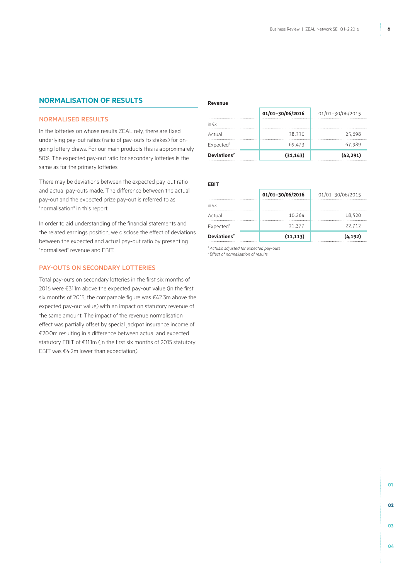# **NORMALISATION OF RESULTS**

### NORMALISED RESULTS

In the lotteries on whose results ZEAL rely, there are fixed underlying pay-out ratios (ratio of pay-outs to stakes) for ongoing lottery draws. For our main products this is approximately 50%. The expected pay-out ratio for secondary lotteries is the same as for the primary lotteries.

There may be deviations between the expected pay-out ratio and actual pay-outs made. The difference between the actual pay-out and the expected prize pay-out is referred to as "normalisation" in this report.

In order to aid understanding of the financial statements and the related earnings position, we disclose the effect of deviations between the expected and actual pay-out ratio by presenting "normalised" revenue and EBIT.

# PAY-OUTS ON SECONDARY LOTTERIES

Total pay-outs on secondary lotteries in the first six months of 2016 were €31.1m above the expected pay-out value (in the first six months of 2015, the comparable figure was €42.3m above the expected pay-out value) with an impact on statutory revenue of the same amount. The impact of the revenue normalisation effect was partially offset by special jackpot insurance income of €20.0m resulting in a difference between actual and expected statutory EBIT of €11.1m (in the first six months of 2015 statutory EBIT was €4.2m lower than expectation).

### **Revenue**

|                         | 01/01-30/06/2016 | 01/01-30/06/2015 |
|-------------------------|------------------|------------------|
| in $\notin k$           |                  |                  |
| Actual                  | 38,330           | 25.698           |
| Expected <sup>1</sup>   | 69.473           | 67.989           |
| Deviations <sup>2</sup> | (31, 143)        | (42, 291)        |

### **EBIT**

|                         | 01/01-30/06/2016 | 01/01-30/06/2015 |
|-------------------------|------------------|------------------|
| in $\notin k$           |                  |                  |
| Actual                  | 10.264           | 18.520           |
| Expected <sup>1</sup>   | 21,377           | 22.712           |
| Deviations <sup>2</sup> | (11, 113)        | (4, 192)         |

*1 Actuals adjusted for expected pay-outs*

*2 Effect of normalisation of results*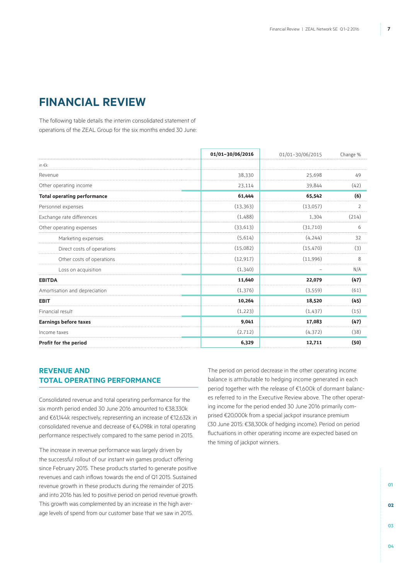# **Financial review**

The following table details the interim consolidated statement of operations of the ZEAL Group for the six months ended 30 June:

|                                    | 01/01-30/06/2016 | 01/01-30/06/2015 | Change %       |
|------------------------------------|------------------|------------------|----------------|
| in $\epsilon$ k                    |                  |                  |                |
| Revenue                            | 38,330           | 25,698           | 49             |
| Other operating income             | 23,114           | 39,844           | (42)           |
| <b>Total operating performance</b> | 61,444           | 65,542           | (6)            |
| Personnel expenses                 | (13, 363)        | (13,057)         | $\mathfrak{D}$ |
| Exchange rate differences          | (1,488)          | 1.304            | (214)          |
| Other operating expenses           | (33, 613)        | (31, 710)        | 6              |
| Marketing expenses                 | (5,614)          | (4, 244)         | 32             |
| Direct costs of operations         | (15,082)         | (15, 470)        | (3)            |
| Other costs of operations          | (12, 917)        | (11.996)         | 8              |
| Loss on acquisition                | (1, 340)         |                  | N/A            |
| <b>EBITDA</b>                      | 11,640           | 22,079           | (47)           |
| Amortisation and depreciation      | (1, 376)         | (3, 559)         | (61)           |
| <b>EBIT</b>                        | 10,264           | 18,520           | (45)           |
| Financial result                   | (1, 223)         | (1,437)          | (15)           |
| <b>Earnings before taxes</b>       | 9,041            | 17,083           | (47)           |
| Income taxes                       | (2,712)          | (4, 372)         | (38)           |
| Profit for the period              | 6,329            | 12,711           | (50)           |

# **REVENUE AND TOTAL OPERATING PERFORMANCE**

Consolidated revenue and total operating performance for the six month period ended 30 June 2016 amounted to €38,330k and €61,144k respectively, representing an increase of €12,632k in consolidated revenue and decrease of €4,098k in total operating performance respectively compared to the same period in 2015.

The increase in revenue performance was largely driven by the successful rollout of our instant win games product offering since February 2015. These products started to generate positive revenues and cash inflows towards the end of Q1 2015. Sustained revenue growth in these products during the remainder of 2015 and into 2016 has led to positive period on period revenue growth. This growth was complemented by an increase in the high average levels of spend from our customer base that we saw in 2015.

The period on period decrease in the other operating income balance is attributable to hedging income generated in each period together with the release of €1,600k of dormant balances referred to in the Executive Review above. The other operating income for the period ended 30 June 2016 primarily comprised €20,000k from a special jackpot insurance premium (30 June 2015: €38,300k of hedging income). Period on period fluctuations in other operating income are expected based on the timing of jackpot winners.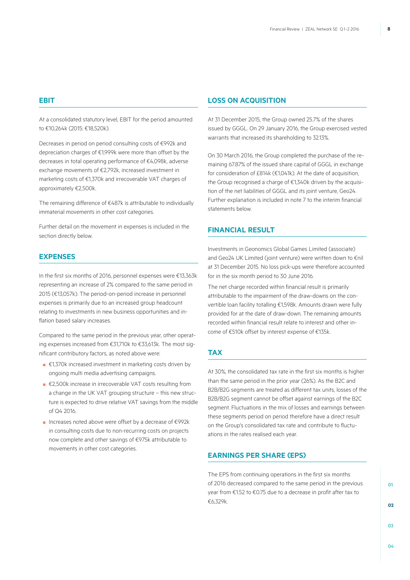### **EBIT**

At a consolidated statutory level, EBIT for the period amounted to €10,264k (2015: €18,520k).

Decreases in period on period consulting costs of €992k and depreciation charges of €1,999k were more than offset by the decreases in total operating performance of €4,098k, adverse exchange movements of €2,792k, increased investment in marketing costs of €1,370k and irrecoverable VAT charges of approximately €2,500k.

The remaining difference of €487k is attributable to individually immaterial movements in other cost categories.

Further detail on the movement in expenses is included in the section directly below.

# **Expenses**

In the first six months of 2016, personnel expenses were €13,363k representing an increase of 2% compared to the same period in 2015 (€13,057k). The period-on-period increase in personnel expenses is primarily due to an increased group headcount relating to investments in new business opportunities and inflation based salary increases.

Compared to the same period in the previous year, other operating expenses increased from €31,710k to €33,613k. The most significant contributory factors, as noted above were:

- €1,370k increased investment in marketing costs driven by ongoing multi media advertising campaigns.
- €2,500k increase in irrecoverable VAT costs resulting from a change in the UK VAT grouping structure – this new structure is expected to drive relative VAT savings from the middle of Q4 2016.
- Increases noted above were offset by a decrease of €992k in consulting costs due to non-recurring costs on projects now complete and other savings of €975k attributable to movements in other cost categories.

### **LOSS ON ACQUISITION**

At 31 December 2015, the Group owned 25.7% of the shares issued by GGGL. On 29 January 2016, the Group exercised vested warrants that increased its shareholding to 32.13%.

On 30 March 2016, the Group completed the purchase of the remaining 67.87% of the issued share capital of GGGL in exchange for consideration of £814k (€1,041k). At the date of acquisition, the Group recognised a charge of €1,340k driven by the acquisition of the net liabilities of GGGL and its joint venture, Geo24. Further explanation is included in note 7 to the interim financial statements below.

# **FINANCIAL RESULT**

Investments in Geonomics Global Games Limited (associate) and Geo24 UK Limited (joint venture) were written down to €nil at 31 December 2015. No loss pick-ups were therefore accounted for in the six month period to 30 June 2016.

The net charge recorded within financial result is primarily attributable to the impairment of the draw-downs on the convertible loan facility totalling €1,598k. Amounts drawn were fully provided for at the date of draw-down. The remaining amounts recorded within financial result relate to interest and other income of €510k offset by interest expense of €135k.

### **Tax**

At 30%, the consolidated tax rate in the first six months is higher than the same period in the prior year (26%). As the B2C and B2B/B2G segments are treated as different tax units, losses of the B2B/B2G segment cannot be offset against earnings of the B2C segment. Fluctuations in the mix of losses and earnings between these segments period on period therefore have a direct result on the Group's consolidated tax rate and contribute to fluctuations in the rates realised each year.

# **EARNINGS PER SHARE (EPS)**

The EPS from continuing operations in the first six months of 2016 decreased compared to the same period in the previous year from €1.52 to €0.75 due to a decrease in profit after tax to €6,329k.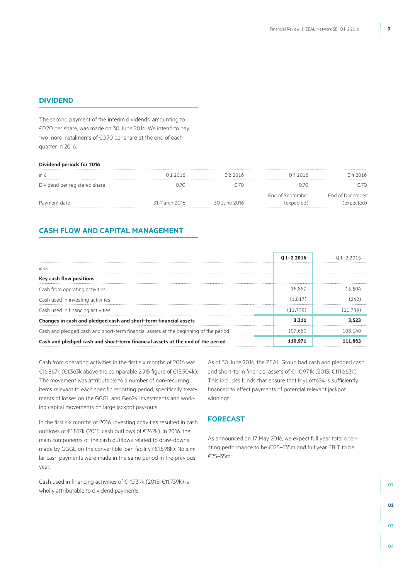### **DIVIDEND**

The second payment of the interim dividends, amounting to €0.70 per share, was made on 30 June 2016. We intend to pay two more instalments of €0.70 per share at the end of each quarter in 2016.

### **Dividend periods for 2016**

| in $\epsilon$                 | 01 2016       | 0 2 2016      | 03 2016          | 04 2016                |
|-------------------------------|---------------|---------------|------------------|------------------------|
| Dividend per registered share |               |               | 1/(              |                        |
|                               |               |               | End of September | <b>End of December</b> |
| Payment date                  | 31 March 2016 | -30 June 2016 | (expected)       | (expected)             |

# **CASH FLOW AND CAPITAL MANAGEMENT**

|                                                                                      | $01 - 22016$ |         |
|--------------------------------------------------------------------------------------|--------------|---------|
| in $\epsilon$ k                                                                      |              |         |
| Key cash flow positions                                                              |              |         |
| Cash from operating activities                                                       | 16.867       | 15.504  |
| Cash used in investing activities                                                    | (1.817)      |         |
| Cash used in financing activities                                                    | (11.739)     |         |
| Changes in cash and pledged cash and short-term financial assets                     | 3.311        |         |
| Cash and pledged cash and short-term financial assets at the beginning of the period | 107.660      | 108.140 |
| Cash and pledged cash and short-term financial assets at the end of the period       | 110,971      |         |

Cash from operating activities in the first six months of 2016 was €16,867k (€1,363k above the comparable 2015 figure of €15,504k). The movement was attributable to a number of non-recurring items relevant to each specific reporting period, specifically treatments of losses on the GGGL and Geo24 investments and working capital movements on large jackpot pay-outs.

In the first six months of 2016, investing activities resulted in cash outflows of €1,817k (2015: cash outflows of €242k). In 2016, the main components of the cash outflows related to draw-downs made by GGGL on the convertible loan facility (€1,598k). No similar cash payments were made in the same period in the previous year.

Cash used in financing activities of €11,739k (2015: €11,739k) is wholly attributable to dividend payments.

As of 30 June 2016, the ZEAL Group had cash and pledged cash and short-term financial assets of €110,971k (2015: €111,663k). This includes funds that ensure that MyLotto24 is sufficiently financed to effect payments of potential relevant jackpot winnings.

# **Forecast**

As announced on 17 May 2016, we expect full year total operating performance to be €125–135m and full year EBIT to be €25–35m.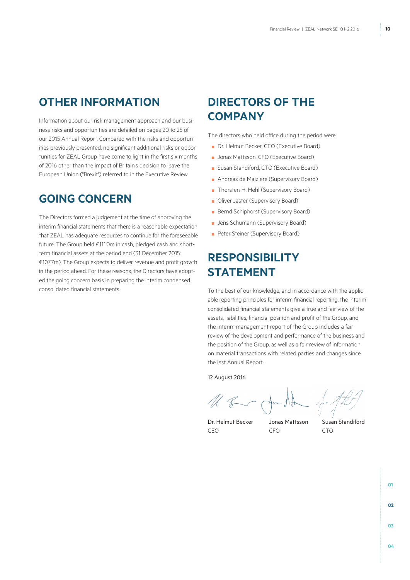# **Other Information**

Information about our risk management approach and our business risks and opportunities are detailed on pages 20 to 25 of our 2015 Annual Report. Compared with the risks and opportunities previously presented, no significant additional risks or opportunities for ZEAL Group have come to light in the first six months of 2016 other than the impact of Britain's decision to leave the European Union ("Brexit") referred to in the Executive Review.

# **Going concern**

The Directors formed a judgement at the time of approving the interim financial statements that there is a reasonable expectation that ZEAL has adequate resources to continue for the foreseeable future. The Group held €111.0m in cash, pledged cash and shortterm financial assets at the period end (31 December 2015: €107.7m). The Group expects to deliver revenue and profit growth in the period ahead. For these reasons, the Directors have adopted the going concern basis in preparing the interim condensed consolidated financial statements.

# **Directors of the Company**

The directors who held office during the period were:

- Dr. Helmut Becker, CEO (Executive Board)
- Jonas Mattsson, CFO (Executive Board)
- Susan Standiford, CTO (Executive Board)
- Andreas de Maizière (Supervisory Board)
- Thorsten H. Hehl (Supervisory Board)
- Oliver Jaster (Supervisory Board)
- Bernd Schiphorst (Supervisory Board)
- Jens Schumann (Supervisory Board)
- Peter Steiner (Supervisory Board)

# **Responsibility statement**

To the best of our knowledge, and in accordance with the applicable reporting principles for interim financial reporting, the interim consolidated financial statements give a true and fair view of the assets, liabilities, financial position and profit of the Group, and the interim management report of the Group includes a fair review of the development and performance of the business and the position of the Group, as well as a fair review of information on material transactions with related parties and changes since the last Annual Report.

12 August 2016

CEO CFO CTO

Dr. Helmut Becker Jonas Mattsson Susan Standiford

**01 02 03**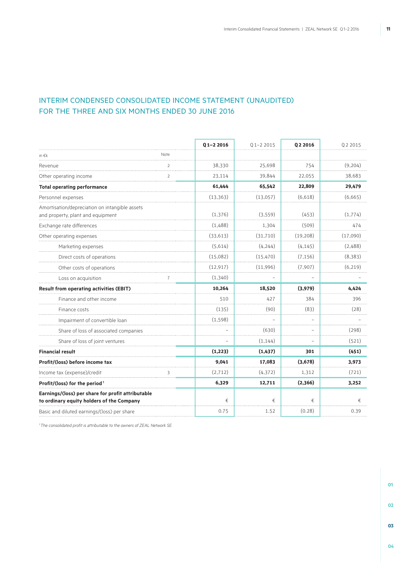# Interim Condensed Consolidated Income Statement (unaudited) FOR THE THREE AND SIX MONTHS ENDED 30 JUNE 2016

|                                                                                                |                          | $01 - 22016$ | $Q1 - 22015$ | Q <sub>2</sub> 2016 | Q2 2015  |
|------------------------------------------------------------------------------------------------|--------------------------|--------------|--------------|---------------------|----------|
| in $\epsilon$ k                                                                                | Note                     |              |              |                     |          |
| Revenue                                                                                        | $\overline{\phantom{a}}$ | 38,330       | 25,698       | 754                 | (9,204)  |
| Other operating income                                                                         | $\overline{2}$           | 23,114       | 39,844       | 22,055              | 38,683   |
| <b>Total operating performance</b>                                                             |                          | 61,444       | 65,542       | 22,809              | 29,479   |
| Personnel expenses                                                                             |                          | (13, 363)    | (13,057)     | (6,618)             | (6,665)  |
| Amortisation/depreciation on intangible assets<br>and property, plant and equipment            |                          | (1, 376)     | (3,559)      | (453)               | (1,774)  |
| Exchange rate differences                                                                      |                          | (1,488)      | 1,304        | (509)               | 474      |
| Other operating expenses                                                                       |                          | (33, 613)    | (31,710)     | (19,208)            | (17,090) |
| Marketing expenses                                                                             |                          | (5,614)      | (4, 244)     | (4, 145)            | (2,488)  |
| Direct costs of operations                                                                     |                          | (15,082)     | (15, 470)    | (7, 156)            | (8,383)  |
| Other costs of operations                                                                      |                          | (12, 917)    | (11,996)     | (7,907)             | (6, 219) |
| Loss on acquisition                                                                            |                          | (1, 340)     |              |                     |          |
| <b>Result from operating activities (EBIT)</b>                                                 |                          | 10,264       | 18,520       | (3,979)             | 4,424    |
| Finance and other income                                                                       |                          | 510          | 427          | 384                 | 396      |
| Finance costs                                                                                  |                          | (135)        | (90)         | (83)                | (28)     |
| Impairment of convertible loan                                                                 |                          | (1, 598)     |              |                     |          |
| Share of loss of associated companies                                                          |                          |              | (630)        |                     | (298)    |
| Share of loss of joint ventures                                                                |                          |              | (1, 144)     |                     | (521)    |
| <b>Financial result</b>                                                                        |                          | (1,223)      | (1,437)      | 301                 | (451)    |
| Profit/(loss) before income tax                                                                |                          | 9,041        | 17,083       | (3,678)             | 3,973    |
| Income tax (expense)/credit                                                                    |                          | (2,712)      | (4, 372)     | 1,312               | (721)    |
| Profit/(loss) for the period <sup>1</sup>                                                      |                          | 6,329        | 12,711       | (2,366)             | 3,252    |
| Earnings/(loss) per share for profit attributable<br>to ordinary equity holders of the Company |                          | €            | €            | €                   | €        |
| Basic and diluted earnings/(loss) per share                                                    |                          | 0.75         | 1.52         | (0.28)              | 0.39     |

*1 The consolidated profit is attributable to the owners of ZEAL Network SE.*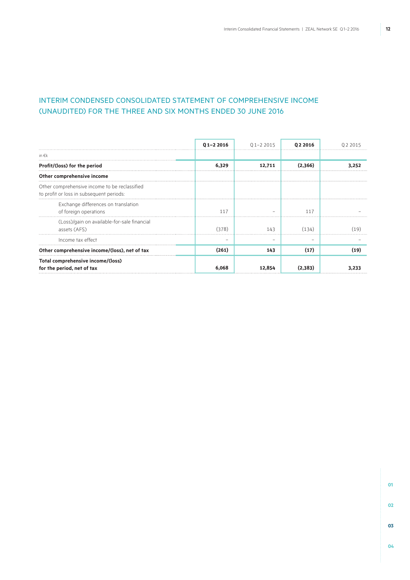# Interim Condensed Consolidated Statement of Comprehensive Income (unaudited) FOR THE THREE AND SIX MONTHS ENDED 30 JUNE 2016

|                                                                                           | $Q1 - 22016$ | $Q1 - 22015$ | 02 2016  | 02 2015 |
|-------------------------------------------------------------------------------------------|--------------|--------------|----------|---------|
| in $\epsilon$ k                                                                           |              |              |          |         |
| Profit/(loss) for the period                                                              | 6,329        | 12,711       | (2,366)  | 3.252   |
| Other comprehensive income                                                                |              |              |          |         |
| Other comprehensive income to be reclassified<br>to profit or loss in subsequent periods: |              |              |          |         |
| Exchange differences on translation<br>of foreign operations                              | 117          |              | 117      |         |
| (Loss)/gain on available-for-sale financial<br>assets (AFS)                               | (378)        | 143          | (134)    | (19)    |
| Income tax effect                                                                         |              |              |          |         |
| Other comprehensive income/(loss), net of tax                                             | (261)        | 143          | (17)     | (19)    |
| Total comprehensive income/(loss)<br>for the period, net of tax                           | 6,068        | 12.854       | (2, 383) | 3.233   |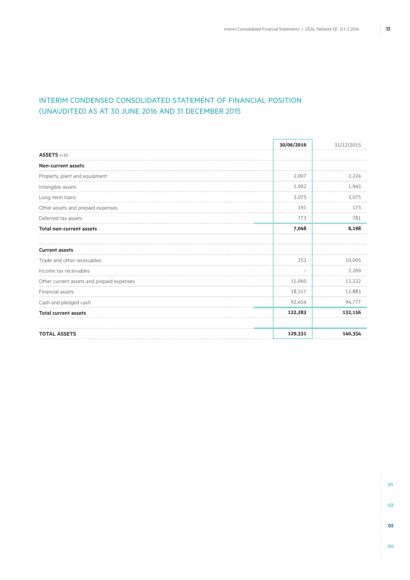# Interim Condensed Consolidated Statement of Financial Position (unaudited) AS AT 30 JUNE 2016 AND 31 DECEMBER 2015

|                                           | 30/06/2016 | 31/12/2015 |  |
|-------------------------------------------|------------|------------|--|
| <b>ASSETS</b> in €k                       |            |            |  |
| <b>Non-current assets</b>                 |            |            |  |
| Property, plant and equipment             | 2,007      | 2,224      |  |
| Intangible assets                         | 1,002      | 1,945      |  |
| Long-term loans                           | 3,075      | 3,075      |  |
| Other assets and prepaid expenses         | 191        | 173        |  |
| Deferred tax assets                       | 773        | 781        |  |
| <b>Total non-current assets</b>           | 7,048      | 8,198      |  |
| <b>Current assets</b>                     |            |            |  |
| Trade and other receivables               | 252        | 10,005     |  |
| Income tax receivables                    |            | 2,269      |  |
| Other current assets and prepaid expenses | 11,060     | 12,222     |  |
| Financial assets                          | 18,517     | 12,883     |  |
| Cash and pledged cash                     | 92,454     | 94,777     |  |
| <b>Total current assets</b>               | 122,283    | 132,156    |  |
| <b>TOTAL ASSETS</b>                       | 129,331    | 140,354    |  |
|                                           |            |            |  |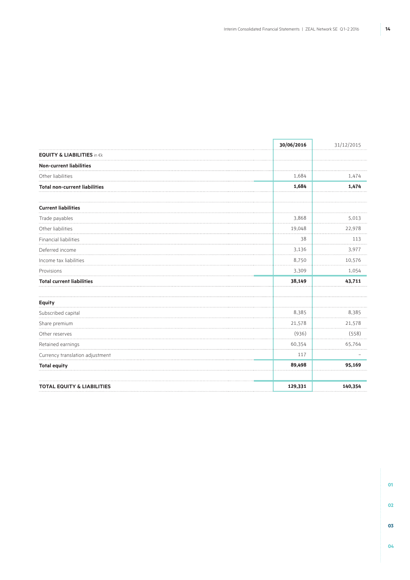|                                       | 30/06/2016 | 31/12/2015 |
|---------------------------------------|------------|------------|
| <b>EQUITY &amp; LIABILITIES in €k</b> |            |            |
| <b>Non-current liabilities</b>        |            |            |
| Other liabilities                     | 1,684      | 1,474      |
| <b>Total non-current liabilities</b>  | 1,684      | 1,474      |
| <b>Current liabilities</b>            |            |            |
| Trade payables                        | 3,868      | 5,013      |
| Other liabilities                     | 19,048     | 22,978     |
| Financial liabilities                 | 38         | 113        |
| Deferred income                       | 3,136      | 3,977      |
| Income tax liabilities                | 8,750      | 10,576     |
| Provisions                            | 3,309      | 1,054      |
| <b>Total current liabilities</b>      | 38,149     | 43,711     |
| <b>Equity</b>                         |            |            |
| Subscribed capital                    | 8,385      | 8,385      |
| Share premium                         | 21,578     | 21,578     |
| Other reserves                        | (936)      | (558)      |
| Retained earnings                     | 60,354     | 65,764     |
| Currency translation adjustment       | 117        |            |
| <b>Total equity</b>                   | 89,498     | 95,169     |
| <b>TOTAL EQUITY &amp; LIABILITIES</b> | 129,331    | 140,354    |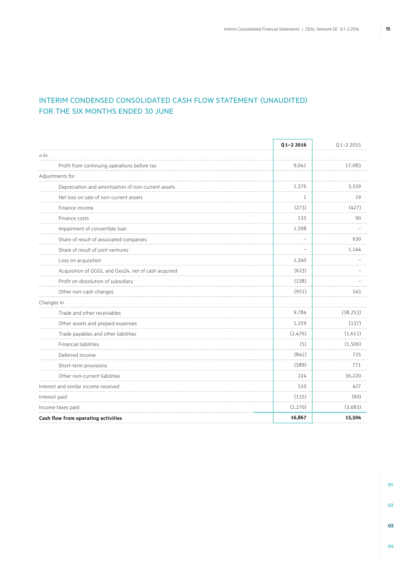# Interim Condensed Consolidated Cash Flow Statement (unaudited) FOR THE SIX MONTHS ENDED 30 JUNE

|                                                     | Q1-2 2016    | $Q$ 1-2 2015 |  |
|-----------------------------------------------------|--------------|--------------|--|
| in $\epsilon$ k                                     |              |              |  |
| Profit from continuing operations before tax        | 9,041        | 17,083       |  |
| Adjustments for                                     |              |              |  |
| Depreciation and amortisation of non-current assets | 1,376        | 3,559        |  |
| Net loss on sale of non-current assets              | $\mathbf{1}$ | 19           |  |
| Finance income                                      | (273)        | (427)        |  |
| Finance costs                                       | 135          | 90           |  |
| Impairment of convertible loan                      | 1,598        |              |  |
| Share of result of associated companies             |              | 630          |  |
| Share of result of joint ventures                   |              | 1,144        |  |
| Loss on acquisition                                 | 1,340        |              |  |
| Acquisition of GGGL and Geo24, net of cash acquired | (623)        |              |  |
| Profit on dissolution of subsidiary                 | (238)        |              |  |
| Other non-cash changes                              | (951)        | 543          |  |
| Changes in                                          |              |              |  |
| Trade and other receivables                         | 9,784        | (38, 253)    |  |
| Other assets and prepaid expenses                   | 1,259        | (137)        |  |
| Trade payables and other liabilities                | (2,476)      | (1,611)      |  |
| <b>Financial liabilities</b>                        | (5)          | (1,506)      |  |
| Deferred income                                     | (841)        | 725          |  |
| Short-term provisions                               | (589)        | 771          |  |
| Other non-current liabilities                       | 224          | 36,220       |  |
| Interest and similar income received                | 510          | 427          |  |
| Interest paid                                       | (135)        | (90)         |  |
| Income taxes paid                                   | (2,270)      | (3,683)      |  |
| Cash flow from operating activities                 | 16,867       | 15,504       |  |
|                                                     |              |              |  |

**03**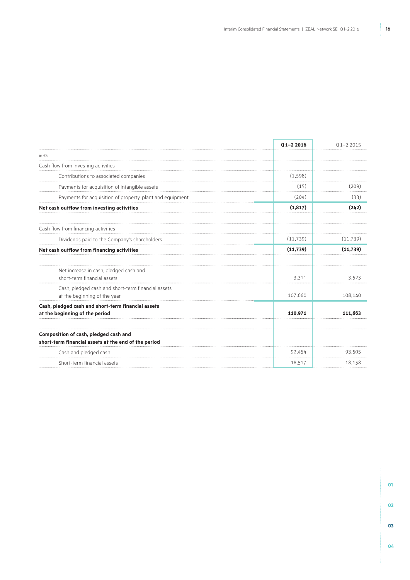r

|                                                                                               | $Q$ 1-2 2016 | $Q1 - 22015$ |
|-----------------------------------------------------------------------------------------------|--------------|--------------|
| in $\epsilon$ k                                                                               |              |              |
| Cash flow from investing activities                                                           |              |              |
| Contributions to associated companies                                                         | (1, 598)     |              |
| Payments for acquisition of intangible assets                                                 | (15)         | (209)        |
| Payments for acquisition of property, plant and equipment                                     | (204)        | (33)         |
| Net cash outflow from investing activities                                                    | (1, 817)     | (242)        |
| Cash flow from financing activities                                                           |              |              |
| Dividends paid to the Company's shareholders                                                  | (11, 739)    | (11, 739)    |
| Net cash outflow from financing activities                                                    | (11,739)     | (11,739)     |
| Net increase in cash, pledged cash and<br>short-term financial assets                         | 3.311        | 3.523        |
| Cash, pledged cash and short-term financial assets<br>at the beginning of the year            | 107,660      | 108,140      |
| Cash, pledged cash and short-term financial assets<br>at the beginning of the period          | 110,971      | 111.663      |
| Composition of cash, pledged cash and<br>short-term financial assets at the end of the period |              |              |
| Cash and pledged cash                                                                         | 92,454       | 93,505       |
| Short-term financial assets                                                                   | 18,517       | 18,158       |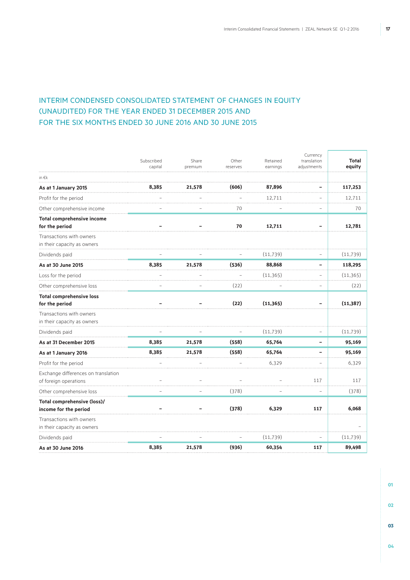# Interim Condensed Consolidated Statement of Changes in Equity (unaudited) FOR THE YEAR ENDED 31 DECEMBER 2015 AND FOR THE SIX MONTHS ENDED 30 JUNE 2016 AND 30 JUNE 2015

|                                                         | Subscribed | Share   | Other    | Retained  | Currency<br>translation  | <b>Total</b> |
|---------------------------------------------------------|------------|---------|----------|-----------|--------------------------|--------------|
|                                                         | capital    | premium | reserves | earnings  | adjustments              | equity       |
| in €k                                                   |            |         |          |           |                          |              |
| As at 1 January 2015                                    | 8,385      | 21,578  | (606)    | 87,896    |                          | 117,253      |
| Profit for the period                                   |            |         |          | 12,711    |                          | 12,711       |
| Other comprehensive income                              |            |         | 70       |           | $\overline{\phantom{0}}$ | 70           |
| <b>Total comprehensive income</b><br>for the period     |            |         | 70       | 12,711    | $\overline{a}$           | 12,781       |
| Transactions with owners<br>in their capacity as owners |            |         |          |           |                          |              |
| Dividends paid                                          |            |         |          | (11, 739) |                          | (11, 739)    |
| As at 30 June 2015                                      | 8,385      | 21,578  | (536)    | 88,868    | ۰                        | 118,295      |
| Loss for the period                                     |            |         |          | (11, 365) |                          | (11, 365)    |
| Other comprehensive loss                                |            |         | (22)     |           | $\overline{a}$           | (22)         |
| <b>Total comprehensive loss</b><br>for the period       |            |         | (22)     | (11, 365) |                          | (11, 387)    |
| Transactions with owners<br>in their capacity as owners |            |         |          |           |                          |              |
| Dividends paid                                          |            |         |          | (11, 739) |                          | (11, 739)    |
| As at 31 December 2015                                  | 8,385      | 21,578  | (558)    | 65,764    | -                        | 95,169       |
| As at 1 January 2016                                    | 8,385      | 21,578  | (558)    | 65,764    |                          | 95,169       |
| Profit for the period                                   |            |         |          | 6,329     |                          | 6,329        |
| Exchange differences on translation                     |            |         |          |           |                          |              |
| of foreign operations                                   |            |         |          |           | 117                      | 117          |
| Other comprehensive loss                                |            |         | (378)    |           | $\overline{\phantom{0}}$ | (378)        |
| Total comprehensive (loss)/                             |            |         |          |           |                          |              |
| income for the period                                   |            |         | (378)    | 6,329     | 117                      | 6,068        |
| Transactions with owners<br>in their capacity as owners |            |         |          |           |                          |              |
| Dividends paid                                          |            |         |          | (11, 739) |                          | (11, 739)    |
| As at 30 June 2016                                      | 8,385      | 21,578  | (936)    | 60,354    | 117                      | 89,498       |

**03**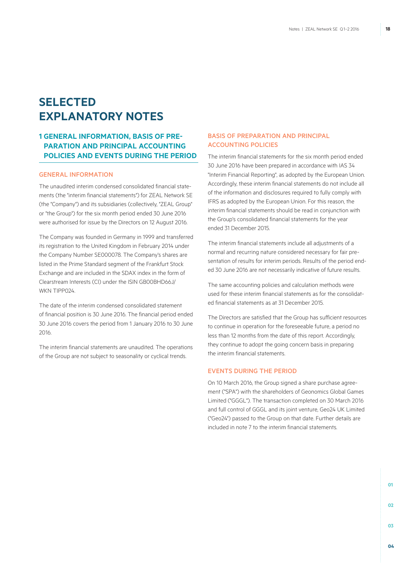# **SELECTED EXPLANATORY NOTES**

# **1 General information, basis of preparation and principal accounting policies and events during the period**

### General information

The unaudited interim condensed consolidated financial statements (the "interim financial statements") for ZEAL Network SE (the "Company") and its subsidiaries (collectively, "ZEAL Group" or "the Group") for the six month period ended 30 June 2016 were authorised for issue by the Directors on 12 August 2016.

The Company was founded in Germany in 1999 and transferred its registration to the United Kingdom in February 2014 under the Company Number SE000078. The Company's shares are listed in the Prime Standard segment of the Frankfurt Stock Exchange and are included in the SDAX index in the form of Clearstream Interests (CI) under the ISIN GB00BHD66J/ WKN TIPP024.

The date of the interim condensed consolidated statement of financial position is 30 June 2016. The financial period ended 30 June 2016 covers the period from 1 January 2016 to 30 June 2016.

The interim financial statements are unaudited. The operations of the Group are not subject to seasonality or cyclical trends.

### Basis of preparation and principal accounting policies

The interim financial statements for the six month period ended 30 June 2016 have been prepared in accordance with IAS 34 "Interim Financial Reporting", as adopted by the European Union. Accordingly, these interim financial statements do not include all of the information and disclosures required to fully comply with IFRS as adopted by the European Union. For this reason, the interim financial statements should be read in conjunction with the Group's consolidated financial statements for the year ended 31 December 2015.

The interim financial statements include all adjustments of a normal and recurring nature considered necessary for fair presentation of results for interim periods. Results of the period ended 30 June 2016 are not necessarily indicative of future results.

The same accounting policies and calculation methods were used for these interim financial statements as for the consolidated financial statements as at 31 December 2015.

The Directors are satisfied that the Group has sufficient resources to continue in operation for the foreseeable future, a period no less than 12 months from the date of this report. Accordingly, they continue to adopt the going concern basis in preparing the interim financial statements.

### Events during the period

On 10 March 2016, the Group signed a share purchase agreement ("SPA") with the shareholders of Geonomics Global Games Limited ("GGGL"). The transaction completed on 30 March 2016 and full control of GGGL and its joint venture, Geo24 UK Limited ("Geo24") passed to the Group on that date. Further details are included in note 7 to the interim financial statements.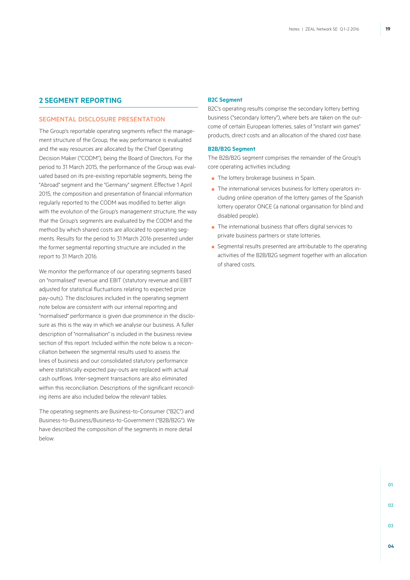### **2 Segment Reporting**

### SEGMENTAL DISCLOSURE PRESENTATION

The Group's reportable operating segments reflect the management structure of the Group, the way performance is evaluated and the way resources are allocated by the Chief Operating Decision Maker ("CODM"), being the Board of Directors. For the period to 31 March 2015, the performance of the Group was evaluated based on its pre-existing reportable segments, being the "Abroad" segment and the "Germany" segment. Effective 1 April 2015, the composition and presentation of financial information regularly reported to the CODM was modified to better align with the evolution of the Group's management structure, the way that the Group's segments are evaluated by the CODM and the method by which shared costs are allocated to operating segments. Results for the period to 31 March 2016 presented under the former segmental reporting structure are included in the report to 31 March 2016.

We monitor the performance of our operating segments based on "normalised" revenue and EBIT (statutory revenue and EBIT adjusted for statistical fluctuations relating to expected prize pay-outs). The disclosures included in the operating segment note below are consistent with our internal reporting and "normalised" performance is given due prominence in the disclosure as this is the way in which we analyse our business. A fuller description of "normalisation" is included in the business review section of this report. Included within the note below is a reconciliation between the segmental results used to assess the lines of business and our consolidated statutory performance where statistically expected pay-outs are replaced with actual cash outflows. Inter-segment transactions are also eliminated within this reconciliation. Descriptions of the significant reconciling items are also included below the relevant tables.

The operating segments are Business-to-Consumer ("B2C") and Business-to-Business/Business-to-Government ("B2B/B2G"). We have described the composition of the segments in more detail below:

#### **B2C Segment**

B2C's operating results comprise the secondary lottery betting business ("secondary lottery"), where bets are taken on the outcome of certain European lotteries, sales of "instant win games" products, direct costs and an allocation of the shared cost base.

### **B2B/B2G Segment**

The B2B/B2G segment comprises the remainder of the Group's core operating activities including:

- The lottery brokerage business in Spain.
- The international services business for lottery operators including online operation of the lottery games of the Spanish lottery operator ONCE (a national organisation for blind and disabled people).
- The international business that offers digital services to private business partners or state lotteries.
- Segmental results presented are attributable to the operating activities of the B2B/B2G segment together with an allocation of shared costs.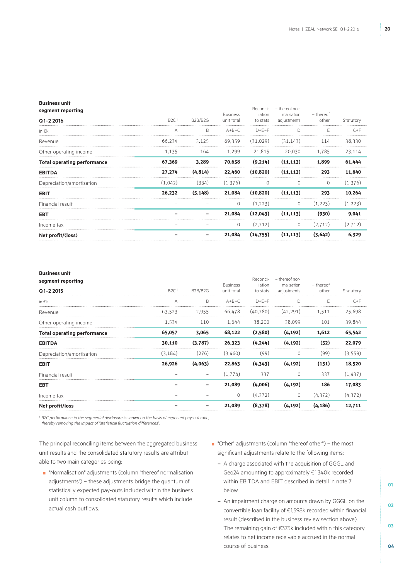#### **Business unit**

| segment reporting                  |                  |                                  | <b>Business</b> | Reconci-<br>liation | - thereof nor-<br>malisation | - thereof |           |
|------------------------------------|------------------|----------------------------------|-----------------|---------------------|------------------------------|-----------|-----------|
| Q1-2 2016                          | B2C <sup>1</sup> | B <sub>2</sub> B/B <sub>2G</sub> | unit total      | to stats            | adjustments                  | other     | Statutory |
| in $\epsilon$ k                    | А                | B                                | $A + B = C$     | $D + F = F$         | D                            | F         | $C+F$     |
| Revenue                            | 66.234           | 3,125                            | 69,359          | (31.029)            | (31.143)                     | 114       | 38,330    |
| Other operating income             | 1,135            | 164                              | 1,299           | 21.815              | 20,030                       | 1.785     | 23,114    |
| <b>Total operating performance</b> | 67,369           | 3,289                            | 70,658          | (9,214)             | (11, 113)                    | 1,899     | 61,444    |
| <b>EBITDA</b>                      | 27,274           | (4, 814)                         | 22,460          | (10, 820)           | (11, 113)                    | 293       | 11,640    |
| Depreciation/amortisation          | (1,042)          | (334)                            | (1,376)         | 0                   | 0                            | $\Omega$  | (1,376)   |
| <b>EBIT</b>                        | 26,232           | (5, 148)                         | 21,084          | (10, 820)           | (11, 113)                    | 293       | 10,264    |
| Financial result                   |                  |                                  | $\mathbf 0$     | (1,223)             | $\circ$                      | (1,223)   | (1,223)   |
| EBT                                |                  |                                  | 21,084          | (12,043)            | (11, 113)                    | (930)     | 9.041     |
| Income tax                         |                  |                                  | $\mathbf 0$     | (2,712)             | $\circ$                      | (2,712)   | (2,712)   |
| Net profit/(loss)                  |                  |                                  | 21,084          | (14, 755)           | (11, 113)                    | (3,642)   | 6,329     |

#### **Business unit**

| segment reporting                  |                  |         | <b>Business</b> | Reconci-<br>liation | - thereof nor-<br>malisation | - thereof |           |
|------------------------------------|------------------|---------|-----------------|---------------------|------------------------------|-----------|-----------|
| Q1-2 2015                          | B2C <sup>1</sup> | B2B/B2G | unit total      | to stats            | adjustments                  | other     | Statutory |
| in $\epsilon$ k                    | A                | B       | $A + B = C$     | $D + F = F$         | D                            |           | $C+F$     |
| Revenue                            | 63,523           | 2,955   | 66.478          | (40.780)            | (42.291)                     | 1.511     | 25,698    |
| Other operating income             | 1,534            | 110     | 1,644           | 38,200              | 38,099                       | 101       | 39,844    |
| <b>Total operating performance</b> | 65,057           | 3,065   | 68,122          | (2,580)             | (4, 192)                     | 1,612     | 65,542    |
| <b>EBITDA</b>                      | 30,110           | (3,787) | 26,323          | (4, 244)            | (4, 192)                     | (52)      | 22,079    |
| Depreciation/amortisation          | (3.184)          | (276)   | (3.460)         | (99)                | 0                            | (99)      | (3, 559)  |
| <b>EBIT</b>                        | 26,926           | (4,063) | 22,863          | (4, 343)            | (4, 192)                     | (151)     | 18,520    |
| Financial result                   |                  |         | (1,774)         | 337                 | 0                            | 337       | (1,437)   |
| <b>EBT</b>                         |                  |         | 21,089          | (4,006)             | (4, 192)                     | 186       | 17,083    |
| Income tax                         |                  |         | $\mathbf 0$     | (4,372)             | $\circ$                      | (4, 372)  | (4, 372)  |
| Net profit/loss                    |                  |         | 21,089          | (8,378)             | (4, 192)                     | (4, 186)  | 12,711    |

<sup>1</sup> B2C performance in the segmental disclosure is shown on the basis of expected pay-out ratio,

*thereby removing the impact of "statistical fluctuation differences".*

The principal reconciling items between the aggregated business unit results and the consolidated statutory results are attributable to two main categories being:

- "Normalisation" adjustments (column "thereof normalisation adjustments") – these adjustments bridge the quantum of statistically expected pay-outs included within the business unit column to consolidated statutory results which include actual cash outflows.
- "Other" adjustments (column "thereof other") the most significant adjustments relate to the following items:
	- A charge associated with the acquisition of GGGL and Geo24 amounting to approximately €1,340k recorded within EBITDA and EBIT described in detail in note 7 below.
	- An impairment charge on amounts drawn by GGGL on the convertible loan facility of €1,598k recorded within financial result (described in the business review section above). The remaining gain of €375k included within this category relates to net income receivable accrued in the normal course of business.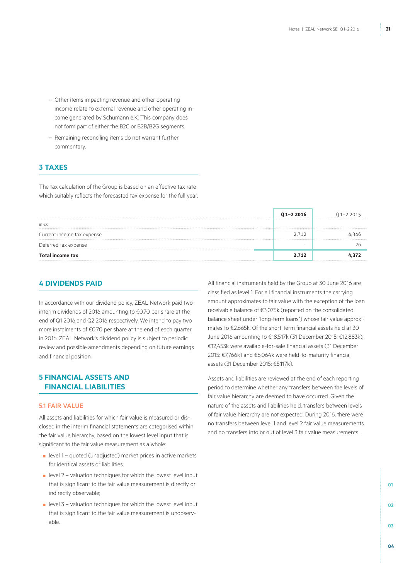- Other items impacting revenue and other operating income relate to external revenue and other operating income generated by Schumann e.K. This company does not form part of either the B2C or B2B/B2G segments.
- Remaining reconciling items do not warrant further commentary.

# **3 Taxes**

The tax calculation of the Group is based on an effective tax rate which suitably reflects the forecasted tax expense for the full year.

|                            | Q1-2 2016 | $01 - 22015$ |
|----------------------------|-----------|--------------|
| in $\epsilon$ k            |           |              |
| Current income tax expense | 2.712     |              |
| Deferred tax expense       | -         |              |
| <b>Total income tax</b>    | 2.712     |              |

# **4 Dividends paid**

In accordance with our dividend policy, ZEAL Network paid two interim dividends of 2016 amounting to €0.70 per share at the end of Q1 2016 and Q2 2016 respectively. We intend to pay two more instalments of €0.70 per share at the end of each quarter in 2016. ZEAL Network's dividend policy is subject to periodic review and possible amendments depending on future earnings and financial position.

# **5 Financial assets and financial liabilities**

### 5.1 FAIR VALUE

All assets and liabilities for which fair value is measured or disclosed in the interim financial statements are categorised within the fair value hierarchy, based on the lowest level input that is significant to the fair value measurement as a whole:

- level 1 quoted (unadjusted) market prices in active markets for identical assets or liabilities;
- $\blacksquare$  level 2 valuation techniques for which the lowest level input that is significant to the fair value measurement is directly or indirectly observable;
- $\blacksquare$  level 3 valuation techniques for which the lowest level input that is significant to the fair value measurement is unobservable.

All financial instruments held by the Group at 30 June 2016 are classified as level 1. For all financial instruments the carrying amount approximates to fair value with the exception of the loan receivable balance of €3,075k (reported on the consolidated balance sheet under "long-term loans") whose fair value approximates to €2,665k. Of the short-term financial assets held at 30 June 2016 amounting to €18,517k (31 December 2015: €12,883k), €12,453k were available-for-sale financial assets (31 December 2015: €7,766k) and €6,064k were held-to-maturity financial assets (31 December 2015: €5,117k).

Assets and liabilities are reviewed at the end of each reporting period to determine whether any transfers between the levels of fair value hierarchy are deemed to have occurred. Given the nature of the assets and liabilities held, transfers between levels of fair value hierarchy are not expected. During 2016, there were no transfers between level 1 and level 2 fair value measurements and no transfers into or out of level 3 fair value measurements.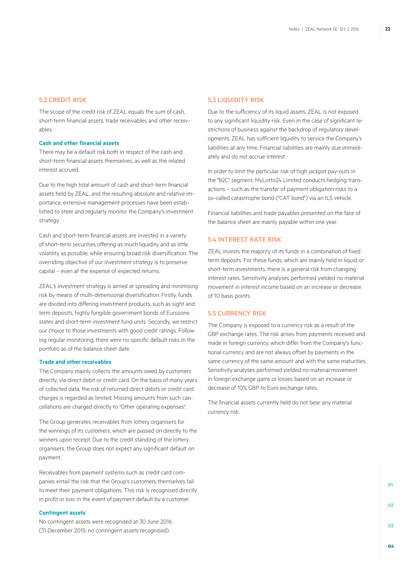### 5.2 CREDIT RISK

The scope of the credit risk of ZEAL equals the sum of cash, short-term financial assets, trade receivables and other receivables.

### **Cash and other financial assets**

There may be a default risk both in respect of the cash and short-term financial assets themselves, as well as the related interest accrued.

Due to the high total amount of cash and short-term financial assets held by ZEAL, and the resulting absolute and relative importance, extensive management processes have been established to steer and regularly monitor the Company's investment strategy.

Cash and short-term financial assets are invested in a variety of short-term securities offering as much liquidity and as little volatility as possible, while ensuring broad risk diversification. The overriding objective of our investment strategy is to preserve capital – even at the expense of expected returns.

ZEAL's investment strategy is aimed at spreading and minimising risk by means of multi-dimensional diversification. Firstly, funds are divided into differing investment products, such as sight and term deposits, highly fungible government bonds of Eurozone states and short-term investment fund units. Secondly, we restrict our choice to those investments with good credit ratings. Following regular monitoring, there were no specific default risks in the portfolio as of the balance sheet date.

### **Trade and other receivables**

The Company mainly collects the amounts owed by customers directly, via direct debit or credit card. On the basis of many years of collected data, the risk of returned direct debits or credit card charges is regarded as limited. Missing amounts from such cancellations are charged directly to "Other operating expenses".

The Group generates receivables from lottery organisers for the winnings of its customers, which are passed on directly to the winners upon receipt. Due to the credit standing of the lottery organisers, the Group does not expect any significant default on payment.

Receivables from payment systems such as credit card companies entail the risk that the Group's customers themselves fail to meet their payment obligations. This risk is recognised directly in profit or loss in the event of payment default by a customer.

### **Contingent assets**

No contingent assets were recognised at 30 June 2016 (31 December 2015: no contingent assets recognised).

### 5.3 LIQUIDITY RISK

Due to the sufficiency of its liquid assets, ZEAL is not exposed to any significant liquidity risk. Even in the case of significant restrictions of business against the backdrop of regulatory developments, ZEAL has sufficient liquidity to service the Company's liabilities at any time. Financial liabilities are mainly due immediately and do not accrue interest.

In order to limit the particular risk of high jackpot pay-outs in the "B2C" segment, MyLotto24 Limited conducts hedging transactions – such as the transfer of payment obligation risks to a so-called catastrophe bond ("CAT bond") via an ILS vehicle.

Financial liabilities and trade payables presented on the face of the balance sheet are mainly payable within one year.

### 5.4 INTEREST RATE RISK

ZEAL invests the majority of its funds in a combination of fixed term deposits. For these funds, which are mainly held in liquid or short-term investments, there is a general risk from changing interest rates. Sensitivity analyses performed yielded no material movement in interest income based on an increase or decrease of 10 basis points.

### 5.5 CURRENCY RISK

The Company is exposed to a currency risk as a result of the GBP exchange rates. The risk arises from payments received and made in foreign currency, which differ from the Company's functional currency and are not always offset by payments in the same currency of the same amount and with the same maturities. Sensitivity analyses performed yielded no material movement in foreign exchange gains or losses based on an increase or decrease of 10% GBP to Euro exchange rates.

The financial assets currently held do not bear any material currency risk.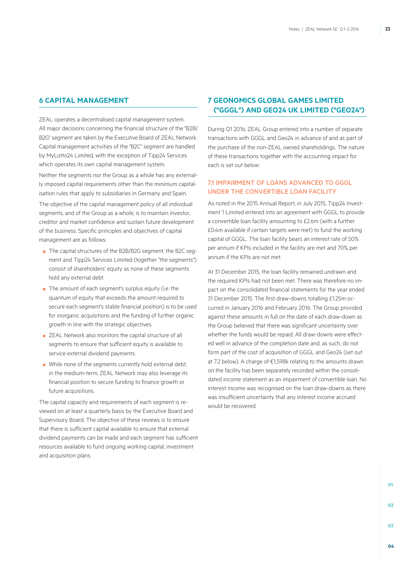### **6 Capital management**

ZEAL operates a decentralised capital management system. All major decisions concerning the financial structure of the "B2B/ B2G" segment are taken by the Executive Board of ZEAL Network. Capital management activities of the "B2C" segment are handled by MyLotto24 Limited, with the exception of Tipp24 Services which operates its own capital management system.

Neither the segments nor the Group as a whole has any externally imposed capital requirements other than the minimum capitalisation rules that apply to subsidiaries in Germany and Spain.

The objective of the capital management policy of all individual segments, and of the Group as a whole, is to maintain investor, creditor and market confidence and sustain future development of the business. Specific principles and objectives of capital management are as follows:

- The capital structures of the B2B/B2G segment, the B2C segment and Tipp24 Services Limited (together "the segments") consist of shareholders' equity as none of these segments hold any external debt.
- The amount of each segment's surplus equity (i.e. the quantum of equity that exceeds the amount required to secure each segment's stable financial position) is to be used for inorganic acquisitions and the funding of further organic growth in line with the strategic objectives.
- ZEAL Network also monitors the capital structure of all segments to ensure that sufficient equity is available to service external dividend payments.
- While none of the segments currently hold external debt, in the medium-term, ZEAL Network may also leverage its financial position to secure funding to finance growth or future acquisitions.

The capital capacity and requirements of each segment is reviewed on at least a quarterly basis by the Executive Board and Supervisory Board. The objective of these reviews is to ensure that there is sufficient capital available to ensure that external dividend payments can be made and each segment has sufficient resources available to fund ongoing working capital, investment and acquisition plans.

# **7 Geonomics Global Games Limited ("GGGL") and Geo24 UK Limited ("Geo24")**

During Q1 2016, ZEAL Group entered into a number of separate transactions with GGGL and Geo24 in advance of and as part of the purchase of the non-ZEAL owned shareholdings. The nature of these transactions together with the accounting impact for each is set out below:

### 7.1 Impairment of loans advanced to GGGL under the convertible loan facility

As noted in the 2015 Annual Report, in July 2015, Tipp24 Investment 1 Limited entered into an agreement with GGGL to provide a convertible loan facility amounting to £2.6m (with a further £0.4m available if certain targets were met) to fund the working capital of GGGL. The loan facility bears an interest rate of 50% per annum if KPIs included in the facility are met and 70% per annum if the KPIs are not met.

At 31 December 2015, the loan facility remained undrawn and the required KPIs had not been met. There was therefore no impact on the consolidated financial statements for the year ended 31 December 2015. The first draw-downs totalling £1.25m occurred in January 2016 and February 2016. The Group provided against these amounts in full on the date of each draw-down as the Group believed that there was significant uncertainty over whether the funds would be repaid. All draw-downs were effected well in advance of the completion date and, as such, do not form part of the cost of acquisition of GGGL and Geo24 (set out at 7.2 below). A charge of €1,598k relating to the amounts drawn on the facility has been separately recorded within the consolidated income statement as an impairment of convertible loan. No interest income was recognised on the loan draw-downs as there was insufficient uncertainty that any interest income accrued would be recovered.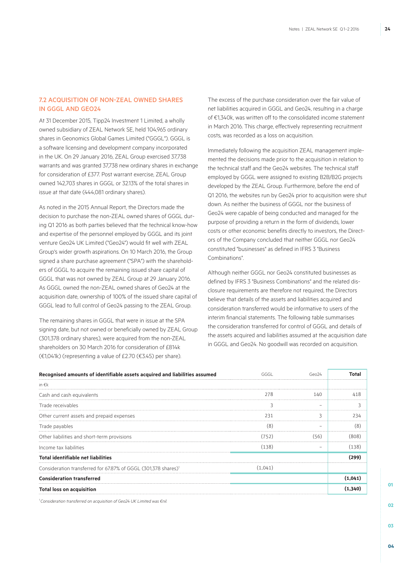### 7.2 Acquisition of non-ZEAL owned shares in GGGL and Geo24

At 31 December 2015, Tipp24 Investment 1 Limited, a wholly owned subsidiary of ZEAL Network SE, held 104,965 ordinary shares in Geonomics Global Games Limited ("GGGL"). GGGL is a software licensing and development company incorporated in the UK. On 29 January 2016, ZEAL Group exercised 37,738 warrants and was granted 37,738 new ordinary shares in exchange for consideration of £377. Post warrant exercise, ZEAL Group owned 142,703 shares in GGGL or 32.13% of the total shares in issue at that date (444,081 ordinary shares).

As noted in the 2015 Annual Report, the Directors made the decision to purchase the non-ZEAL owned shares of GGGL during Q1 2016 as both parties believed that the technical know-how and expertise of the personnel employed by GGGL and its joint venture Geo24 UK Limited ("Geo24") would fit well with ZEAL Group's wider growth aspirations. On 10 March 2016, the Group signed a share purchase agreement ("SPA") with the shareholders of GGGL to acquire the remaining issued share capital of GGGL that was not owned by ZEAL Group at 29 January 2016. As GGGL owned the non-ZEAL owned shares of Geo24 at the acquisition date, ownership of 100% of the issued share capital of GGGL lead to full control of Geo24 passing to the ZEAL Group.

The remaining shares in GGGL that were in issue at the SPA signing date, but not owned or beneficially owned by ZEAL Group (301,378 ordinary shares), were acquired from the non-ZEAL shareholders on 30 March 2016 for consideration of £814k (€1,041k) (representing a value of £2.70 (€3.45) per share).

The excess of the purchase consideration over the fair value of net liabilities acquired in GGGL and Geo24, resulting in a charge of €1,340k, was written off to the consolidated income statement in March 2016. This charge, effectively representing recruitment costs, was recorded as a loss on acquisition.

Immediately following the acquisition ZEAL management implemented the decisions made prior to the acquisition in relation to the technical staff and the Geo24 websites. The technical staff employed by GGGL were assigned to existing B2B/B2G projects developed by the ZEAL Group. Furthermore, before the end of Q1 2016, the websites run by Geo24 prior to acquisition were shut down. As neither the business of GGGL nor the business of Geo24 were capable of being conducted and managed for the purpose of providing a return in the form of dividends, lower costs or other economic benefits directly to investors, the Directors of the Company concluded that neither GGGL nor Geo24 constituted "businesses" as defined in IFRS 3 "Business Combinations".

Although neither GGGL nor Geo24 constituted businesses as defined by IFRS 3 "Business Combinations" and the related disclosure requirements are therefore not required, the Directors believe that details of the assets and liabilities acquired and consideration transferred would be informative to users of the interim financial statements. The following table summarises the consideration transferred for control of GGGL and details of the assets acquired and liabilities assumed at the acquisition date in GGGL and Geo24. No goodwill was recorded on acquisition.

| Recognised amounts of identifiable assets acquired and liabilities assumed |         |       |      |
|----------------------------------------------------------------------------|---------|-------|------|
| in €k                                                                      |         |       |      |
| Cash and cash equivalents                                                  | 278     | 1 4 O |      |
| Trade receivables                                                          |         |       |      |
| Other current assets and prepaid expenses                                  | 231     |       |      |
| Trade payables                                                             | (8)     |       |      |
| Other liabilities and short-term provisions                                | (752)   | (56)  |      |
| Income tax liabilities                                                     | (138)   |       | 138) |
| Total identifiable net liabilities                                         |         |       |      |
| Consideration transferred for 67.87% of GGGL (301,378 shares) <sup>1</sup> | (1,041) |       |      |
| <b>Consideration transferred</b>                                           |         |       |      |
| <b>Total loss on acquisition</b>                                           |         |       |      |

*1 Consideration transferred on acquisition of Geo24 UK Limited was €nil.*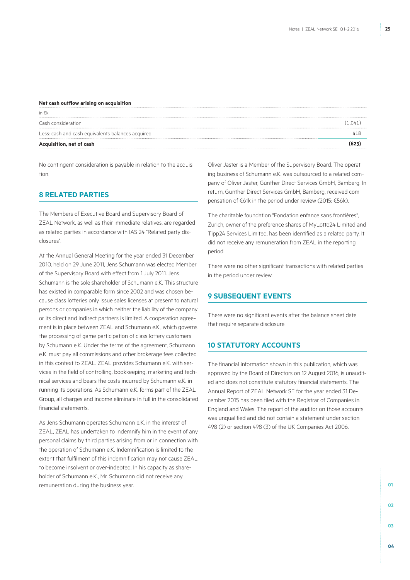#### **Net cash outflow arising on acquisition**

| in $\epsilon$ k                                   |        |
|---------------------------------------------------|--------|
| Cash consideration                                | (1.041 |
| Less: cash and cash equivalents balances acquired |        |
| Acquisition, net of cash                          |        |

No contingent consideration is payable in relation to the acquisition.

# **8 Related parties**

The Members of Executive Board and Supervisory Board of ZEAL Network, as well as their immediate relatives, are regarded as related parties in accordance with IAS 24 "Related party disclosures".

At the Annual General Meeting for the year ended 31 December 2010, held on 29 June 2011, Jens Schumann was elected Member of the Supervisory Board with effect from 1 July 2011. Jens Schumann is the sole shareholder of Schumann e.K. This structure has existed in comparable form since 2002 and was chosen because class lotteries only issue sales licenses at present to natural persons or companies in which neither the liability of the company or its direct and indirect partners is limited. A cooperation agreement is in place between ZEAL and Schumann e.K., which governs the processing of game participation of class lottery customers by Schumann e.K. Under the terms of the agreement, Schumann e.K. must pay all commissions and other brokerage fees collected in this context to ZEAL. ZEAL provides Schumann e.K. with services in the field of controlling, bookkeeping, marketing and technical services and bears the costs incurred by Schumann e.K. in running its operations. As Schumann e.K. forms part of the ZEAL Group, all charges and income eliminate in full in the consolidated financial statements.

As Jens Schumann operates Schumann e.K. in the interest of ZEAL, ZEAL has undertaken to indemnify him in the event of any personal claims by third parties arising from or in connection with the operation of Schumann e.K. Indemnification is limited to the extent that fulfilment of this indemnification may not cause ZEAL to become insolvent or over-indebted. In his capacity as shareholder of Schumann e.K., Mr. Schumann did not receive any remuneration during the business year.

Oliver Jaster is a Member of the Supervisory Board. The operating business of Schumann e.K. was outsourced to a related company of Oliver Jaster, Günther Direct Services GmbH, Bamberg. In return, Günther Direct Services GmbH, Bamberg, received compensation of €61k in the period under review (2015: €56k).

The charitable foundation "Fondation enfance sans frontières", Zurich, owner of the preference shares of MyLotto24 Limited and Tipp24 Services Limited, has been identified as a related party. It did not receive any remuneration from ZEAL in the reporting period.

There were no other significant transactions with related parties in the period under review.

### **9 Subsequent events**

There were no significant events after the balance sheet date that require separate disclosure.

# **10 Statutory accounts**

The financial information shown in this publication, which was approved by the Board of Directors on 12 August 2016, is unaudited and does not constitute statutory financial statements. The Annual Report of ZEAL Network SE for the year ended 31 December 2015 has been filed with the Registrar of Companies in England and Wales. The report of the auditor on those accounts was unqualified and did not contain a statement under section 498 (2) or section 498 (3) of the UK Companies Act 2006.